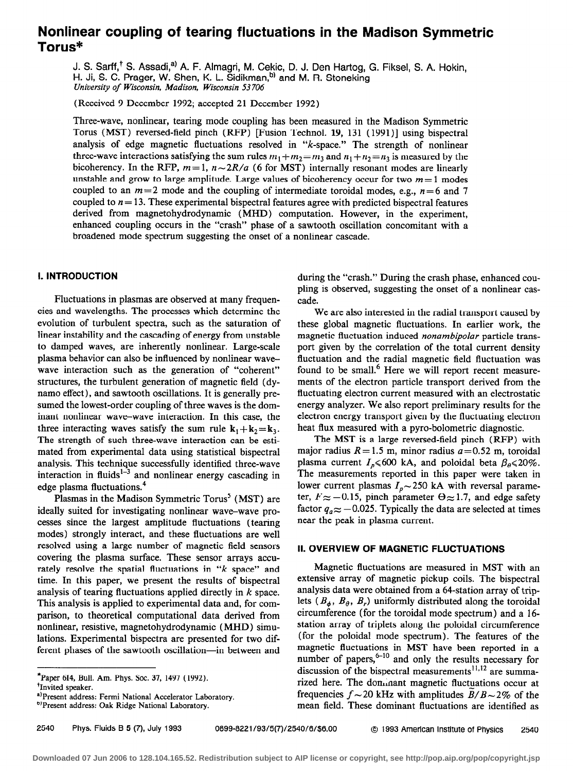# Nonlinear coupling of tearing fluctuations in the Madison Symmetric Torus\*

J. S. Sarff,<sup>T</sup> S. Assadi,<sup>a)</sup> A. F. Almagri, M. Cekic, D. J. Den Hartog, G. Fiksel, S. A. Hokin, H. Ji, S. C. Prager, W. Shen, K. L. Sidikman,<sup>b)</sup> and M. R. Stoneking University of Wisconsin, Madison, Wisconsin 53 706

(Received 9 December 1992; accepted 21 December 1992)

Three-wave, nonlinear, tearing mode coupling has been measured in the Madison Symmetric Torus (MST) reversed-field pinch (RFP) [Fusion Technol. 19, 131 ( 1991)] using bispectral analysis of edge magnetic fluctuations resolved in "k-space." The strength of nonlinear three-wave interactions satisfying the sum rules  $m_1 + m_2 = m_3$  and  $n_1 + n_2 = n_3$  is measured by the bicoherency. In the RFP,  $m=1$ ,  $n\sim 2R/a$  (6 for MST) internally resonant modes are linearly unstable and grow to large amplitude. Large values of bicoherency occur for two  $m = 1$  modes coupled to an  $m=2$  mode and the coupling of intermediate toroidal modes, e.g.,  $n=6$  and 7 coupled to  $n = 13$ . These experimental bispectral features agree with predicted bispectral features derived from magnetohydrodynamic (MHD) computation. However, in the experiment, enhanced coupling occurs in the "crash" phase of a sawtooth oscillation concomitant with a broadened mode spectrum suggesting the onset of a nonlinear cascade.

# 1. INTRODUCTION

Fluctuations in plasmas are observed at many frequencies and wavelengths. The processes which determine the evolution of turbulent spectra, such as the saturation of linear instability and the cascading of energy from unstable to damped waves, are inherently nonlinear. Large-scale plasma behavior can also be influenced by nonlinear wavewave interaction such as the generation of "coherent" structures, the turbulent generation of magnetic field (dynamo effect), and sawtooth oscillations. It is generally presumed the lowest-order coupling of three waves is the dominant nonlinear wave-wave interaction. In this case, the three interacting waves satisfy the sum rule  $k_1 + k_2 = k_3$ . The strength of such three-wave interaction can be estimated from experimental data using statistical bispectral analysis. This technique successfully identified three-wave interaction in fluids<sup> $1-\frac{3}{3}$ </sup> and nonlinear energy cascading in edge plasma fluctuations.<sup>4</sup>

Plasmas in the Madison Symmetric Torus' (MST) are ideally suited for investigating nonlinear wave-wave processes since the largest amplitude fluctuations (tearing modes) strongly interact, and these fluctuations are well resolved using a large number of magnetic field sensors covering the plasma surface. These sensor arrays accurately resolve the spatial fluctuations in "k space" and time. In this paper, we present the results of bispectral analysis of tearing fluctuations applied directly in k space. This analysis is applied to experimental data and, for comparison, to theoretical computational data derived from nonlinear, resistive, magnetohydrodynamic (MHD) simulations. Experimental bispectra are presented for two different phases of the sawtooth oscillation-in between and

a)Present address: Fermi National Accelerator Laboratory.

during the "crash." During the crash phase, enhanced coupling is observed, suggesting the onset of a nonlinear cascade.

We are also interested in the radial transport caused by these global magnetic fluctuations. In earlier work, the magnetic fluctuation induced nonambipolar particle transport given by the correlation of the total current density fluctuation and the radial magnetic field fluctuation was found to be small.<sup>6</sup> Here we will report recent measurements of the electron particle transport derived from the fluctuating electron current measured with an electrostatic energy analyzer. We also report preliminary results for the electron energy transport given by the fluctuating electron heat flux measured with a pyro-bolometric diagnostic.

The MST is a large reversed-field pinch (RFP) with major radius  $R = 1.5$  m, minor radius  $a = 0.52$  m, toroidal plasma current  $I_n \le 600$  kA, and poloidal beta  $\beta_n \le 20\%$ . The measurements reported in this paper were taken in lower current plasmas  $I_n \sim 250$  kA with reversal parameter,  $F \approx -0.15$ , pinch parameter  $\Theta \approx 1.7$ , and edge safety factor  $q_a \approx -0.025$ . Typically the data are selected at times near the peak in plasma current.

# II. OVERVIEW OF MAGNETIC FLUCTUATIONS

Magnetic fluctuations are measured in MST with an extensive array of magnetic pickup coils. The bispectral analysis data were obtained from a 64-station array of triplets ( $B_{\phi}$ ,  $B_{\theta}$ ,  $B_{r}$ ) uniformly distributed along the toroidal circumference (for the toroidal mode spectrum) and a 16 station array of triplets along the poloidal circumference (for the poloidal mode spectrum). The features of the magnetic fluctuations in MST have been reported in a number of papers,  $6-10$  and only the results necessary for discussion of the bispectral measurements<sup>11,12</sup> are summarized here. The donmant magnetic fluctuations occur at frequencies  $f \sim 20$  kHz with amplitudes  $B/B \sim 2\%$  of the mean field. These dominant fluctuations are identified as

<sup>\*</sup>Paper 6I4, Bull. Am. Phys. Soc. 37, 1497 (1992).

<sup>&</sup>lt;sup>†</sup>Invited speaker.

<sup>&</sup>lt;sup>6)</sup>Present address: Oak Ridge National Laboratory.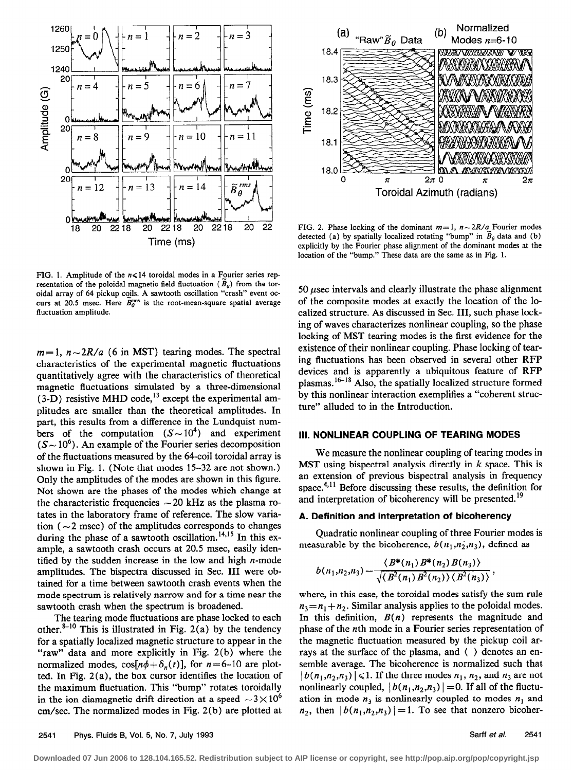

FIG. 1. Amplitude of the  $n \le 14$  toroidal modes in a Fourier series representation of the poloidal magnetic field fluctuation ( $B_{\theta}$ ) from the toroidal array of 64 pickup cojls. A sawtooth oscillation "crash" event occurs at 20.5 msec. Here  $\overline{B}_{q}^{\rm rms}$  is the root-mean-square spatial average fluctuation amplitude.

 $m=1$ ,  $n\sim 2R/a$  (6 in MST) tearing modes. The spectral characteristics of the experimental magnetic fluctuations quantitatively agree with the characteristics of theoretical magnetic fluctuations simulated by a three-dimensional  $(3-D)$  resistive MHD code,<sup>13</sup> except the experimental amplitudes are smaller than the theoretical amplitudes. In part, this results from a difference in the Lundquist numbers of the computation  $(S \sim 10^4)$  and experiment  $(S \sim 10^6)$ . An example of the Fourier series decomposition of the fluctuations measured by the 64-coil toroidal array is shown in Fig. 1. (Note that modes 15-32 are not shown.) Only the amplitudes of the modes are shown in this figure. Not shown are the phases of the modes which change at the characteristic frequencies  $\sim$  20 kHz as the plasma rotates in the laboratory frame of reference. The slow variation ( $\sim$ 2 msec) of the amplitudes corresponds to changes during the phase of a sawtooth oscillation.<sup>14,15</sup> In this example, a sawtooth crash occurs at 20.5 msec, easily identified by the sudden increase in the low and high  $n$ -mode amplitudes. The bispectra discussed in Sec. III were obtained for a time between sawtooth crash events when the mode spectrum is relatively narrow and for a time near the sawtooth crash when the spectrum is broadened.

The tearing mode fluctuations are phase locked to each other.<sup>8-10</sup> This is illustrated in Fig. 2(a) by the tendency for a spatially localized magnetic structure to appear in the "raw" data and more explicitly in Fig. 2(b) where the normalized modes,  $\cos[n\phi+\delta_n(t)]$ , for  $n=6-10$  are plotted. In Fig. 2(a), the box cursor identifies the location of the maximum fluctuation. This "bump" rotates toroidally in the ion diamagnetic drift direction at a speed  $\sim 3 \times 10^6$ cm/set. The normalized modes in Fig. 2(b) are plotted at



FIG. 2. Phase locking of the dominant  $m=1$ ,  $n\sim 2R/a$  Fourier modes detected (a) by spatially localized rotating "bump" in  $B_{\theta}$  data and (b) explicitly by the Fourier phase alignment of the dominant modes at the location of the "bump." These data are the same as in Fig. 1.

50  $\mu$ sec intervals and clearly illustrate the phase alignment of the composite modes at exactly the location of the localized structure. As discussed in Sec. III, such phase locking of waves characterizes nonlinear coupling, so the phase locking of MST tearing modes is the first evidence for the existence of their nonlinear coupling. Phase locking of tearing fluctuations has been observed in several other RFP devices and is apparently a ubiquitous feature of RFP plasmas.16-18 Also, the spatially localized structure formed by this nonlinear interaction exemplifies a "coherent structure" alluded to in the Introduction.

## Ill. NONLINEAR COUPLING OF TEARING MODES

We measure the nonlinear coupling of tearing modes in MST using bispectral analysis directly in  $k$  space. This is an extension of previous bispectral analysis in frequency space. $4,11$  Before discussing these results, the definition for and interpretation of bicoherency will be presented.<sup>19</sup>

### A. Definition and interpretation of bicoherency

Quadratic nonlinear coupling of three Fourier modes is measurable by the bicoherence,  $b(n_1,n_2,n_3)$ , defined as

$$
b(n_1,n_2,n_3)=\frac{\langle B^*(n_1) B^*(n_2) B(n_3) \rangle}{\sqrt{\langle B^2(n_1) B^2(n_2) \rangle \langle B^2(n_3) \rangle}},
$$

where, in this case, the toroidal modes satisfy the sum rule  $n_1 = n_1 + n_2$ . Similar analysis applies to the poloidal modes. In this definition,  $B(n)$  represents the magnitude and phase of the nth mode in a Fourier series representation of the magnetic fluctuation measured by the pickup coil arrays at the surface of the plasma, and ( ) denotes an ensemble average. The bicoherence is normalized such that  $|b(n_1,n_2,n_3)| \leq 1$ . If the three modes  $n_1, n_2$ , and  $n_3$  are not nonlinearly coupled,  $|b(n_1,n_2,n_3)|=0$ . If all of the fluctuation in mode  $n_3$  is nonlinearly coupled to modes  $n_1$  and  $n_2$ , then  $|b(n_1,n_2,n_3)|=1$ . To see that nonzero bicoher-

**Downloaded 07 Jun 2006 to 128.104.165.52. Redistribution subject to AIP license or copyright, see http://pop.aip.org/pop/copyright.jsp**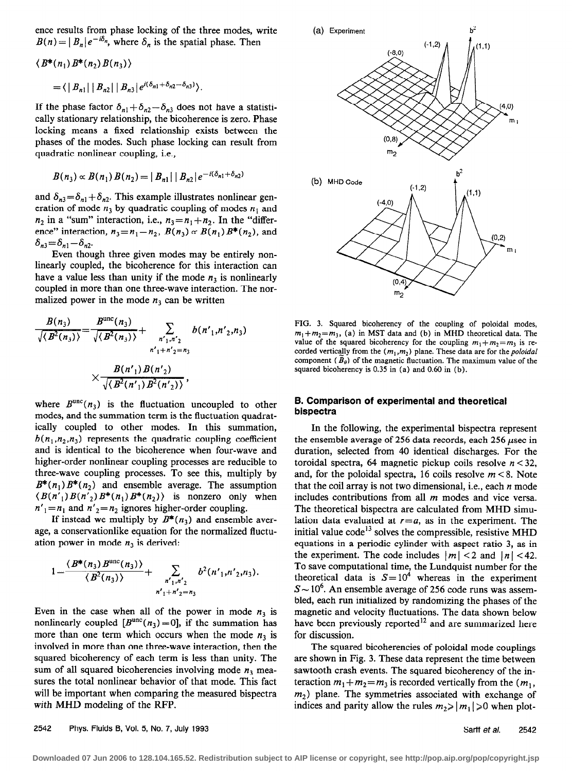ence results from phase locking of the three modes, write  $B(n) = |B_n|e^{-i\delta_n}$ , where  $\delta_n$  is the spatial phase. Then

$$
\langle B^*(n_1) B^*(n_2) B(n_3) \rangle
$$
  
=  $\langle |B_{n1}| |B_{n2}| |B_{n3}| e^{i(\delta_{n1} + \delta_{n2} - \delta_{n3})} \rangle$ .

If the phase factor  $\delta_{n1}+\delta_{n2}-\delta_{n3}$  does not have a statistically stationary relationship, the bicoherence is zero. Phase locking means a fixed relationship exists between the phases of the modes. Such phase locking can result from quadratic nonlinear coupling, i.e.,

$$
B(n_3) \propto B(n_1) B(n_2) = |B_{n1}| |B_{n2}| e^{-i(\delta_{n1} + \delta_{n2})}
$$

and  $\delta_{n3} = \delta_{n1} + \delta_{n2}$ . This example illustrates nonlinear generation of mode  $n_3$  by quadratic coupling of modes  $n_1$  and  $n_2$  in a "sum" interaction, i.e.,  $n_3 = n_1 + n_2$ . In the "difference" interaction,  $n_3=n_1-n_2$ ,  $B(n_3) \propto B(n_1)B^*(n_2)$ , and  $\delta_{n3}=\delta_{n1}-\delta_{n2}$ .

Even though three given modes may be entirely nonlinearly coupled, the bicoherence for this interaction can have a value less than unity if the mode  $n_3$  is nonlinearly coupled in more than one three-wave interaction. The normalized power in the mode  $n_3$  can be written

$$
\frac{B(n_3)}{\sqrt{\langle B^2(n_3)\rangle}} = \frac{B^{\text{unc}}(n_3)}{\sqrt{\langle B^2(n_3)\rangle}} + \sum_{\substack{n'_1,n'_2\\ n'_1+n'_2 = n_3}} b(n'_1, n'_2, n_3)
$$

$$
\times \frac{B(n'_1) B(n'_2)}{\sqrt{\langle B^2(n'_1) B^2(n'_2)\rangle}},
$$

where  $B^{unc}(n_3)$  is the fluctuation uncoupled to other modes, and the summation term is the fluctuation quadratically coupled to other modes. In this summation,  $b(n_1,n_2,n_3)$  represents the quadratic coupling coefficient and is identical to the bicoherence when four-wave and higher-order nonlinear coupling processes are reducible to three-wave coupling processes. To see this, multiply by  $B^*(n_1) B^*(n_2)$  and ensemble average. The assumption  $\langle B(n')B(n'_{2})B^*(n_1)B^*(n_2)\rangle$  is nonzero only when  $n'_{1} = n_{1}$  and  $n'_{2} = n_{2}$  ignores higher-order coupling.

If instead we multiply by  $B^*(n_3)$  and ensemble average, a conservationlike equation for the normalized fluctuation power in mode  $n_3$  is derived:

$$
1=\frac{\langle B^*(n_3) B^{\text{unc}}(n_3) \rangle}{\langle B^2(n_3) \rangle}+\sum_{\substack{n'_1,n'_2\\ n'_1+n'_2=n_3}} b^2(n'_1,n'_2,n_3).
$$

Even in the case when all of the power in mode  $n_3$  is nonlinearly coupled  $[B^{unc}(n_3)=0]$ , if the summation has more than one term which occurs when the mode  $n_3$  is involved in more than one three-wave interaction, then the squared bicoherency of each term is less than unity. The sum of all squared bicoherencies involving mode  $n_3$  measures the total nonlinear behavior of that mode. This fact will be important when comparing the measured bispectra with MHD modeling of the RFP.



FIG. 3. Squared bicoherency of the coupling of poloidal modes,  $m_1+m_2=m_3$ , (a) in MST data and (b) in MHD theoretical data. The value of the squared bicoherency for the coupling  $m_1+m_2=m_1$  is recorded vertically from the  $(m_1, m_2)$  plane. These data are for the poloidal component ( $\tilde{B}_\theta$ ) of the magnetic fluctuation. The maximum value of the squared bicoherency is 0.35 in (a) and 0.60 in (b).

#### 8. Comparison of experimental and theoretical bispectra

In the following, the experimental bispectra represent the ensemble average of 256 data records, each 256  $\mu$ sec in duration, selected from 40 identical discharges. For the toroidal spectra, 64 magnetic pickup coils resolve  $n < 32$ , and, for the poloidal spectra, 16 coils resolve  $m < 8$ . Note that the coil array is not two dimensional, i.e., each  $n$  mode includes contributions from all  $m$  modes and vice versa. The theoretical bispectra are calculated from MHD simulation data evaluated at  $r=a$ , as in the experiment. The initial value  $code^{13}$  solves the compressible, resistive MHD equations in a periodic cylinder with aspect ratio 3, as in the experiment. The code includes  $|m| < 2$  and  $|n| < 42$ . To save computational time, the Lundquist number for the theoretical data is  $S = 10^4$  whereas in the experiment  $S \sim 10^6$ . An ensemble average of 256 code runs was assembled, each run initialized by randomizing the phases of the magnetic and velocity fluctuations. The data shown below have been previously reported<sup>12</sup> and are summarized here for discussion.

The squared bicoherencies of poloidal mode couplings are shown in Fig. 3. These data represent the time between sawtooth crash events. The squared bicoherency of the interaction  $m_1 + m_2 = m_3$  is recorded vertically from the  $(m_1,$  $m<sub>2</sub>$ ) plane. The symmetries associated with exchange of indices and parity allow the rules  $m_2 \ge |m_1| \ge 0$  when plot-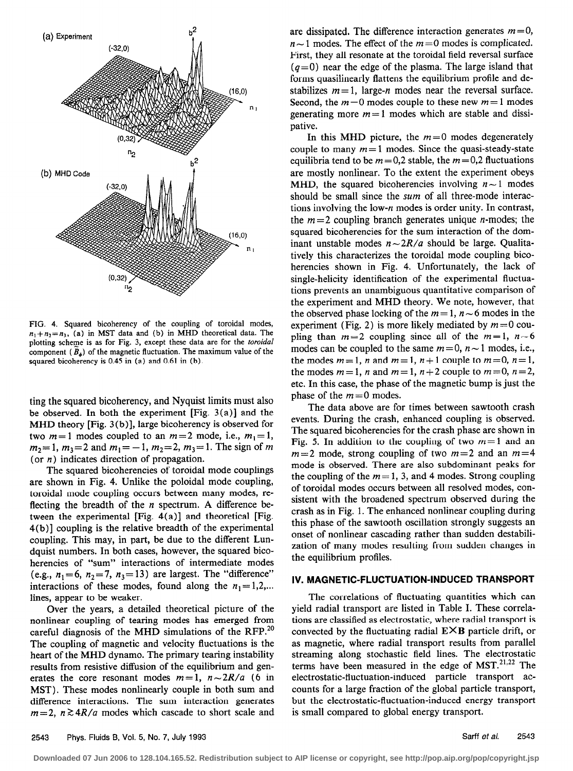

FIG. 4. Squared bicoherency of the coupling of toroidal modes,  $n_1+n_2=n_3$ , (a) in MST data and (b) in MHD theoretical data. The plotting scheme is as for Fig. 3, except these data are for the toroidal component  $(B_{\alpha})$  of the magnetic fluctuation. The maximum value of the squared bicoherency is 0.45 in (a) and 0.61 in (b).

ting the squared bicoherency, and Nyquist limits must also be observed. In both the experiment [Fig.  $3(a)$ ] and the MHD theory [Fig. 3 (b)], large bicoherency is observed for two  $m=1$  modes coupled to an  $m=2$  mode, i.e.,  $m_1=1$ ,  $m_2=1$ ,  $m_3=2$  and  $m_1=-1$ ,  $m_2=2$ ,  $m_3=1$ . The sign of m (or  $n$ ) indicates direction of propagation.

The squared bicoherencies of toroidal mode couplings are shown in Fig. 4. Unlike the poloidal mode coupling, toroidal mode coupling occurs between many modes, reflecting the breadth of the  $n$  spectrum. A difference between the experimental [Fig. 4(a)] and theoretical [Fig. 4(b)] coupling is the relative breadth of the experimental coupling. This may, in part, be due to the different Lundquist numbers. In both cases, however, the squared bicoherencies of "sum" interactions of intermediate modes (e.g.,  $n_1=6$ ,  $n_2=7$ ,  $n_3=13$ ) are largest. The "difference" interactions of these modes, found along the  $n_1 = 1,2,...$ lines, appear to be weaker.

Over the years, a detailed theoretical picture of the nonlinear coupling of tearing modes has emerged from careful diagnosis of the MHD simulations of the RFP.<sup>20</sup> The coupling of magnetic and velocity fluctuations is the heart of the MHD dynamo. The primary tearing instability results from resistive diffusion of the equilibrium and generates the core resonant modes  $m=1$ ,  $n\sim 2R/a$  (6 in MST). These modes nonlinearly couple in both sum and difference interactions. The sum interaction generates  $m=2$ ,  $n \ge 4R/a$  modes which cascade to short scale and

are dissipated. The difference interaction generates  $m = 0$ ,  $n \sim 1$  modes. The effect of the  $m = 0$  modes is complicated. First, they all resonate at the toroidal field reversal surface  $(q=0)$  near the edge of the plasma. The large island that forms quasilinearly flattens the equilibrium profile and destabilizes  $m=1$ , large-n modes near the reversal surface. Second, the  $m=0$  modes couple to these new  $m=1$  modes generating more  $m = 1$  modes which are stable and dissipative.

In this MHD picture, the  $m = 0$  modes degenerately couple to many  $m=1$  modes. Since the quasi-steady-state equilibria tend to be  $m = 0.2$  stable, the  $m = 0.2$  fluctuations are mostly nonlinear. To the extent the experiment obeys MHD, the squared bicoherencies involving  $n \sim 1$  modes should be small since the sum of all three-mode interactions involving the low-n modes is order unity. In contrast, the  $m = 2$  coupling branch generates unique *n*-modes; the squared bicoherencies for the sum interaction of the dominant unstable modes  $n \sim 2R/a$  should be large. Qualitatively this characterizes the toroidal mode coupling bicoherencies shown in Fig. 4. Unfortunately, the lack of single-helicity identification of the experimental fluctuations prevents an unambiguous quantitative comparison of the experiment and MHD theory. We note, however, that the observed phase locking of the  $m=1$ ,  $n \sim 6$  modes in the experiment (Fig. 2) is more likely mediated by  $m = 0$  coupling than  $m=2$  coupling since all of the  $m=1$ ,  $n \sim 6$ modes can be coupled to the same  $m=0$ ,  $n \sim 1$  modes, i.e., the modes  $m=1$ , n and  $m=1$ ,  $n+1$  couple to  $m=0$ ,  $n=1$ , the modes  $m=1$ , n and  $m=1$ ,  $n+2$  couple to  $m=0$ ,  $n=2$ , etc. In this case, the phase of the magnetic bump is just the phase of the  $m = 0$  modes.

The data above are for times between sawtooth crash events. During the crash, enhanced coupling is observed. The squared bicoherencies for the crash phase are shown in Fig. 5. In addition to the coupling of two  $m=1$  and an  $m=2$  mode, strong coupling of two  $m=2$  and an  $m=4$ mode is observed. There are also subdominant peaks for the coupling of the  $m = 1$ , 3, and 4 modes. Strong coupling of toroidal modes occurs between all resolved modes, consistent with the broadened spectrum observed during the crash as in Fig. 1. The enhanced nonlinear coupling during this phase of the sawtooth oscillation strongly suggests an onset of nonlinear cascading rather than sudden destabilization of many modes resulting from sudden changes in the equilibrium profiles.

#### IV. MAGNETIC-FLUCTUATION-INDUCED TRANSPORT

The correlations of fluctuating quantities which can yield radial transport are listed in Table I. These correlations are classified as electrostatic, where radial transport is convected by the fluctuating radial  $E \times B$  particle drift, or as magnetic, where radial transport results from parallel streaming along stochastic field lines. The electrostatic terms have been measured in the edge of  $MST$ .<sup>21,22</sup> The electrostatic-fluctuation-induced particle transport accounts for a large fraction of the global particle transport, but the electrostatic-fluctuation-induced energy transport is small compared to global energy transport.

**Downloaded 07 Jun 2006 to 128.104.165.52. Redistribution subject to AIP license or copyright, see http://pop.aip.org/pop/copyright.jsp**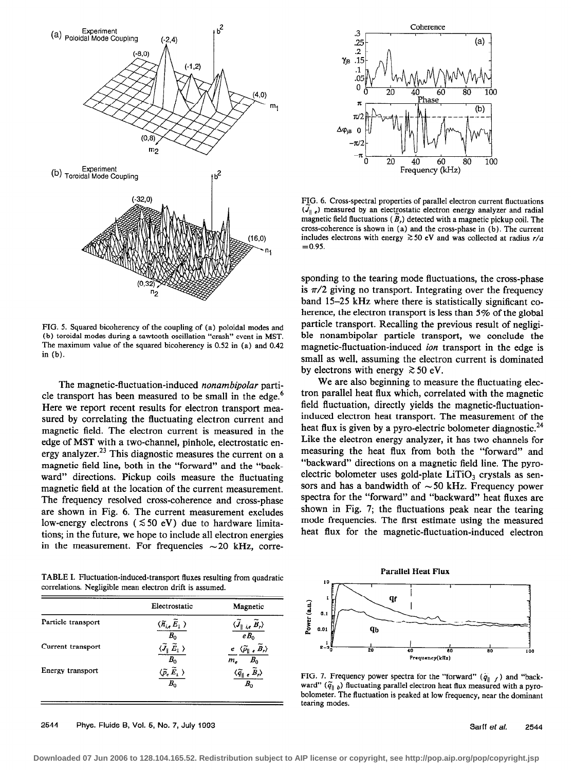

FIG. 5. Squared bicoherency of the coupling of (a) poloidal modes and (b) toroidal modes during a sawtooth oscillation "crash" event in MST. The maximum value of the squared bicoherency is 0.52 in (a) and 0.42 in (b).

The magnetic-fluctuation-induced nonambipolar particle transport has been measured to be small in the edge.<sup>6</sup> Here we report recent results for electron transport measured by correlating the fluctuating electron current and magnetic field. The electron current is measured in the edge of MST with a two-channel, pinhole, electrostatic energy analyzer.<sup>23</sup> This diagnostic measures the current on a magnetic field line, both in the "forward" and the "backward" directions. Pickup coils measure the fluctuating magnetic field at the location of the current measurement. The frequency resolved cross-coherence and cross-phase are shown in Fig. 6. The current measurement excludes low-energy electrons ( $\leq 50$  eV) due to hardware limitations; in the future, we hope to include all electron energies in the measurement. For frequencies  $\sim$  20 kHz, corre-

TABLE I. Fluctuation-induced-transport fluxes resulting from quadratic correlations. Negligible mean electron drift is assumed.

|                    | Electrostatic                                                         | Magnetic                                                |
|--------------------|-----------------------------------------------------------------------|---------------------------------------------------------|
| Particle transport | $\langle \widetilde{n}_{i,e}\,\widetilde{E}_1\ \rangle$<br>$B_0$      | $\langle J_{\parallel\,\,i,e}\;B_{r}\rangle$<br>$eB_0$  |
| Current transport  | $B_0$                                                                 | $e \langle \widetilde{p}_{\parallel}$<br>$B_0$<br>$m_e$ |
| Energy transport   | $\langle \tilde{\rho_\epsilon}\, \tilde{E}_\perp \, \rangle$<br>$B_0$ | $\langle \widetilde{q}_{\parallel\ e}$<br>$B_{0}$       |



FIG. 6. Cross-spectral properties of parallel electron current fluctuations  $(J_{\parallel e})$  measured by an electrostatic electron energy analyzer and radial magnetic field fluctuations ( $\overline{B}_r$ ) detected with a magnetic pickup coil. The cross-coherence is shown in (a) and the cross-phase in (b). The current includes electrons with energy  $\gtrsim$  50 eV and was collected at radius  $r/a$  $=0.95.$ 

sponding to the tearing mode fluctuations, the cross-phase is  $\pi/2$  giving no transport. Integrating over the frequency band 15-25 kHz where there is statistically significant coherence, the electron transport is less than 5% of the global particle transport. Recalling the previous result of negligible nonambipolar particle transport, we conclude the magnetic-fluctuation-induced ion transport in the edge is small as well, assuming the electron current is dominated by electrons with energy  $\gtrsim 50$  eV.

We are also beginning to measure the fluctuating electron parallel heat flux which, correlated with the magnetic field fluctuation, directly yields the magnetic-fluctuationinduced electron heat transport. The measurement of the heat flux is given by a pyro-electric bolometer diagnostic.<sup>24</sup> Like the electron energy analyzer, it has two channels for measuring the heat flux from both the "forward" and "backward" directions on a magnetic field line. The pyroelectric bolometer uses gold-plate LiTiO, crystals as sensors and has a bandwidth of  $\sim$  50 kHz. Frequency power spectra for the "forward" and "backward" heat fluxes are shown in Fig. 7; the fluctuations peak near the tearing mode frequencies. The first estimate using the measured heat flux for the magnetic-fluctuation-induced electron



FIG. 7. Frequency power spectra for the "forward"  $(\tilde{q}_{\parallel} f)$  and "backward" ( $\tilde{q}_{\parallel b}$ ) fluctuating parallel electron heat flux measured with a pyrobolometer. The fluctuation is peaked at low frequency, near the dominant tearing modes.

2544 Phys. Fluids B, Vol. 5, No. 7, July 1993 Sarff et al. 2544 Sarff et al. 2544